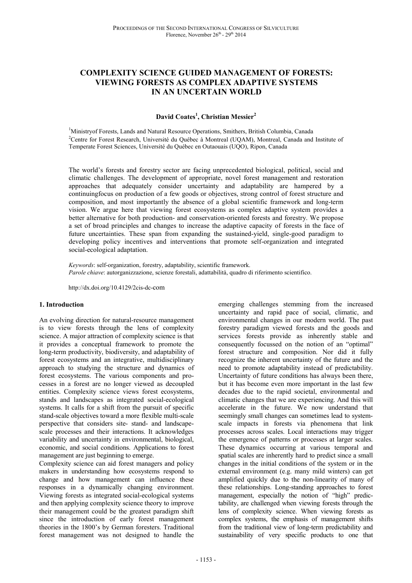# **COMPLEXITY SCIENCE GUIDED MANAGEMENT OF FORESTS: VIEWING FORESTS AS COMPLEX ADAPTIVE SYSTEMS IN AN UNCERTAIN WORLD**

## **David Coates<sup>1</sup> , Christian Messier<sup>2</sup>**

<sup>1</sup>Ministryof Forests, Lands and Natural Resource Operations, Smithers, British Columbia, Canada <sup>2</sup>Centre for Forest Research, Université du Québec à Montreal (UQAM), Montreal, Canada and Institute of Temperate Forest Sciences, Université du Québec en Outaouais (UQO), Ripon, Canada

The world's forests and forestry sector are facing unprecedented biological, political, social and climatic challenges. The development of appropriate, novel forest management and restoration approaches that adequately consider uncertainty and adaptability are hampered by a continuingfocus on production of a few goods or objectives, strong control of forest structure and composition, and most importantly the absence of a global scientific framework and long-term vision. We argue here that viewing forest ecosystems as complex adaptive system provides a better alternative for both production- and conservation-oriented forests and forestry. We propose a set of broad principles and changes to increase the adaptive capacity of forests in the face of future uncertainties. These span from expanding the sustained-yield, single-good paradigm to developing policy incentives and interventions that promote self-organization and integrated social-ecological adaptation.

*Keywords*: self-organization, forestry, adaptability, scientific framework. *Parole chiave*: autorganizzazione, scienze forestali, adattabilità, quadro di riferimento scientifico.

http://dx.doi.org/10.4129/2cis-dc-com

#### **1. Introduction**

An evolving direction for natural-resource management is to view forests through the lens of complexity science. A major attraction of complexity science is that it provides a conceptual framework to promote the long-term productivity, biodiversity, and adaptability of forest ecosystems and an integrative, multidisciplinary approach to studying the structure and dynamics of forest ecosystems. The various components and processes in a forest are no longer viewed as decoupled entities. Complexity science views forest ecosystems, stands and landscapes as integrated social-ecological systems. It calls for a shift from the pursuit of specific stand-scale objectives toward a more flexible multi-scale perspective that considers site- stand- and landscapescale processes and their interactions. It acknowledges variability and uncertainty in environmental, biological, economic, and social conditions. Applications to forest management are just beginning to emerge.

Complexity science can aid forest managers and policy makers in understanding how ecosystems respond to change and how management can influence these responses in a dynamically changing environment. Viewing forests as integrated social-ecological systems and then applying complexity science theory to improve their management could be the greatest paradigm shift since the introduction of early forest management theories in the 1800's by German foresters. Traditional forest management was not designed to handle the

emerging challenges stemming from the increased uncertainty and rapid pace of social, climatic, and environmental changes in our modern world. The past forestry paradigm viewed forests and the goods and services forests provide as inherently stable and consequently focussed on the notion of an "optimal" forest structure and composition. Nor did it fully recognize the inherent uncertainty of the future and the need to promote adaptability instead of predictability. Uncertainty of future conditions has always been there, but it has become even more important in the last few decades due to the rapid societal, environmental and climatic changes that we are experiencing. And this will accelerate in the future. We now understand that seemingly small changes can sometimes lead to systemscale impacts in forests via phenomena that link processes across scales. Local interactions may trigger the emergence of patterns or processes at larger scales. These dynamics occurring at various temporal and spatial scales are inherently hard to predict since a small changes in the initial conditions of the system or in the external environment (e.g. many mild winters) can get amplified quickly due to the non-linearity of many of these relationships. Long-standing approaches to forest management, especially the notion of "high" predictability, are challenged when viewing forests through the lens of complexity science. When viewing forests as complex systems, the emphasis of management shifts from the traditional view of long-term predictability and sustainability of very specific products to one that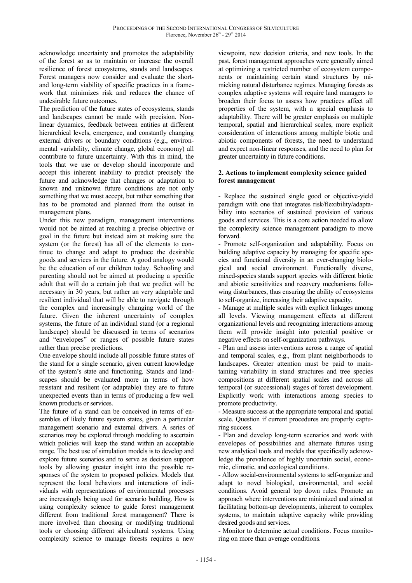acknowledge uncertainty and promotes the adaptability of the forest so as to maintain or increase the overall resilience of forest ecosystems, stands and landscapes. Forest managers now consider and evaluate the shortand long-term viability of specific practices in a framework that minimizes risk and reduces the chance of undesirable future outcomes.

The prediction of the future states of ecosystems, stands and landscapes cannot be made with precision. Nonlinear dynamics, feedback between entities at different hierarchical levels, emergence, and constantly changing external drivers or boundary conditions (e.g., environmental variability, climate change, global economy) all contribute to future uncertainty. With this in mind, the tools that we use or develop should incorporate and accept this inherent inability to predict precisely the future and acknowledge that changes or adaptation to known and unknown future conditions are not only something that we must accept, but rather something that has to be promoted and planned from the outset in management plans.

Under this new paradigm, management interventions would not be aimed at reaching a precise objective or goal in the future but instead aim at making sure the system (or the forest) has all of the elements to continue to change and adapt to produce the desirable goods and services in the future. A good analogy would be the education of our children today. Schooling and parenting should not be aimed at producing a specific adult that will do a certain job that we predict will be necessary in 30 years, but rather an very adaptable and resilient individual that will be able to navigate through the complex and increasingly changing world of the future. Given the inherent uncertainty of complex systems, the future of an individual stand (or a regional landscape) should be discussed in terms of scenarios and "envelopes" or ranges of possible future states rather than precise predictions.

One envelope should include all possible future states of the stand for a single scenario, given current knowledge of the system's state and functioning. Stands and landscapes should be evaluated more in terms of how resistant and resilient (or adaptable) they are to future unexpected events than in terms of producing a few well known products or services.

The future of a stand can be conceived in terms of ensembles of likely future system states, given a particular management scenario and external drivers. A series of scenarios may be explored through modeling to ascertain which policies will keep the stand within an acceptable range. The best use of simulation models is to develop and explore future scenarios and to serve as decision support tools by allowing greater insight into the possible responses of the system to proposed policies. Models that represent the local behaviors and interactions of individuals with representations of environmental processes are increasingly being used for scenario building. How is using complexity science to guide forest management different from traditional forest management? There is more involved than choosing or modifying traditional tools or choosing different silvicultural systems. Using complexity science to manage forests requires a new

viewpoint, new decision criteria, and new tools. In the past, forest management approaches were generally aimed at optimizing a restricted number of ecosystem components or maintaining certain stand structures by mimicking natural disturbance regimes. Managing forests as complex adaptive systems will require land managers to broaden their focus to assess how practices affect all properties of the system, with a special emphasis to adaptability. There will be greater emphasis on multiple temporal, spatial and hierarchical scales, more explicit consideration of interactions among multiple biotic and abiotic components of forests, the need to understand and expect non-linear responses, and the need to plan for greater uncertainty in future conditions.

### **2. Actions to implement complexity science guided forest management**

- Replace the sustained single good or objective-yield paradigm with one that integrates risk/flexibility/adaptability into scenarios of sustained provision of various goods and services. This is a core action needed to allow the complexity science management paradigm to move forward.

- Promote self-organization and adaptability. Focus on building adaptive capacity by managing for specific species and functional diversity in an ever-changing biological and social environment. Functionally diverse, mixed-species stands support species with different biotic and abiotic sensitivities and recovery mechanisms following disturbances, thus ensuring the ability of ecosystems to self-organize, increasing their adaptive capacity.

- Manage at multiple scales with explicit linkages among all levels. Viewing management effects at different organizational levels and recognizing interactions among them will provide insight into potential positive or negative effects on self-organization pathways.

- Plan and assess interventions across a range of spatial and temporal scales, e.g., from plant neighborhoods to landscapes. Greater attention must be paid to maintaining variability in stand structures and tree species compositions at different spatial scales and across all temporal (or successional) stages of forest development. Explicitly work with interactions among species to promote productivity.

- Measure success at the appropriate temporal and spatial scale. Question if current procedures are properly capturing success.

- Plan and develop long-term scenarios and work with envelopes of possibilities and alternate futures using new analytical tools and models that specifically acknowledge the prevalence of highly uncertain social, economic, climatic, and ecological conditions.

- Allow social-environmental systems to self-organize and adapt to novel biological, environmental, and social conditions. Avoid general top down rules. Promote an approach where interventions are minimized and aimed at facilitating bottom-up developments, inherent to complex systems, to maintain adaptive capacity while providing desired goods and services.

- Monitor to determine actual conditions. Focus monitoring on more than average conditions.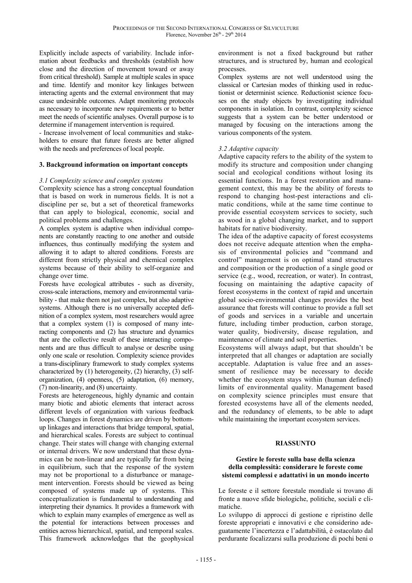Explicitly include aspects of variability. Include information about feedbacks and thresholds (establish how close and the direction of movement toward or away from critical threshold). Sample at multiple scales in space and time. Identify and monitor key linkages between interacting agents and the external environment that may cause undesirable outcomes. Adapt monitoring protocols as necessary to incorporate new requirements or to better meet the needs of scientific analyses. Overall purpose is to determine if management intervention is required.

- Increase involvement of local communities and stakeholders to ensure that future forests are better aligned with the needs and preferences of local people.

#### **3. Background information on important concepts**

#### *3.1 Complexity science and complex systems*

Complexity science has a strong conceptual foundation that is based on work in numerous fields. It is not a discipline per se, but a set of theoretical frameworks that can apply to biological, economic, social and political problems and challenges.

A complex system is adaptive when individual components are constantly reacting to one another and outside influences, thus continually modifying the system and allowing it to adapt to altered conditions. Forests are different from strictly physical and chemical complex systems because of their ability to self-organize and change over time.

Forests have ecological attributes - such as diversity, cross-scale interactions, memory and environmental variability - that make them not just complex, but also adaptive systems. Although there is no universally accepted definition of a complex system, most researchers would agree that a complex system (1) is composed of many interacting components and (2) has structure and dynamics that are the collective result of these interacting components and are thus difficult to analyse or describe using only one scale or resolution. Complexity science provides a trans-disciplinary framework to study complex systems characterized by (1) heterogeneity, (2) hierarchy, (3) selforganization, (4) openness, (5) adaptation, (6) memory, (7) non-linearity, and (8) uncertainty.

Forests are heterogeneous, highly dynamic and contain many biotic and abiotic elements that interact across different levels of organization with various feedback loops. Changes in forest dynamics are driven by bottomup linkages and interactions that bridge temporal, spatial, and hierarchical scales. Forests are subject to continual change. Their states will change with changing external or internal drivers. We now understand that these dynamics can be non-linear and are typically far from being in equilibrium, such that the response of the system may not be proportional to a disturbance or management intervention. Forests should be viewed as being composed of systems made up of systems. This conceptualization is fundamental to understanding and interpreting their dynamics. It provides a framework with which to explain many examples of emergence as well as the potential for interactions between processes and entities across hierarchical, spatial, and temporal scales. This framework acknowledges that the geophysical

environment is not a fixed background but rather structures, and is structured by, human and ecological processes.

Complex systems are not well understood using the classical or Cartesian modes of thinking used in reductionist or determinist science. Reductionist science focuses on the study objects by investigating individual components in isolation. In contrast, complexity science suggests that a system can be better understood or managed by focusing on the interactions among the various components of the system.

#### *3.2 Adaptive capacity*

Adaptive capacity refers to the ability of the system to modify its structure and composition under changing social and ecological conditions without losing its essential functions. In a forest restoration and management context, this may be the ability of forests to respond to changing host-pest interactions and climatic conditions, while at the same time continue to provide essential ecosystem services to society, such as wood in a global changing market, and to support habitats for native biodiversity.

The idea of the adaptive capacity of forest ecosystems does not receive adequate attention when the emphasis of environmental policies and "command and control" management is on optimal stand structures and composition or the production of a single good or service (e.g., wood, recreation, or water). In contrast, focusing on maintaining the adaptive capacity of forest ecosystems in the context of rapid and uncertain global socio-environmental changes provides the best assurance that forests will continue to provide a full set of goods and services in a variable and uncertain future, including timber production, carbon storage, water quality, biodiversity, disease regulation, and maintenance of climate and soil properties.

Ecosystems will always adapt, but that shouldn't be interpreted that all changes or adaptation are socially acceptable. Adaptation is value free and an assessment of resilience may be necessary to decide whether the ecosystem stays within (human defined) limits of environmental quality. Management based on complexity science principles must ensure that forested ecosystems have all of the elements needed, and the redundancy of elements, to be able to adapt while maintaining the important ecosystem services.

#### **RIASSUNTO**

#### **Gestire le foreste sulla base della scienza della complessità: considerare le foreste come sistemi complessi e adattativi in un mondo incerto**

Le foreste e il settore forestale mondiale si trovano di fronte a nuove sfide biologiche, politiche, sociali e climatiche.

Lo sviluppo di approcci di gestione e ripristino delle foreste appropriati e innovativi e che considerino adeguatamente l'incertezza e l'adattabilità, è ostacolato dal perdurante focalizzarsi sulla produzione di pochi beni o